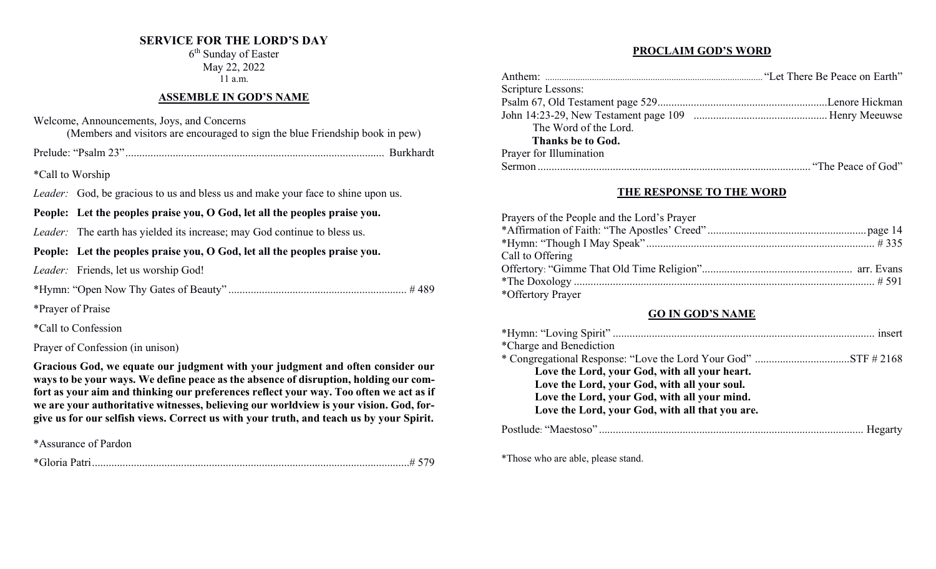## **SERVICE FOR THE LORD'S DAY**

6th Sunday of Easter May 22, 2022 11 a.m.

# **ASSEMBLE IN GOD'S NAME**

Welcome, Announcements, Joys, and Concerns

(Members and visitors are encouraged to sign the blue Friendship book in pew)

Prelude: "Psalm 23"............................................................................................. Burkhardt

\*Call to Worship

*Leader:* God, be gracious to us and bless us and make your face to shine upon us.

**People: Let the peoples praise you, O God, let all the peoples praise you.**

*Leader:* The earth has yielded its increase; may God continue to bless us.

## **People: Let the peoples praise you, O God, let all the peoples praise you.**

*Leader:* Friends, let us worship God!

\*Hymn: "Open Now Thy Gates of Beauty" ................................................................ # 489

\*Prayer of Praise

\*Call to Confession

## Prayer of Confession (in unison)

**Gracious God, we equate our judgment with your judgment and often consider our ways to be your ways. We define peace as the absence of disruption, holding our comfort as your aim and thinking our preferences reflect your way. Too often we act as if we are your authoritative witnesses, believing our worldview is your vision. God, forgive us for our selfish views. Correct us with your truth, and teach us by your Spirit.** 

\*Assurance of Pardon

|--|

## **PROCLAIM GOD'S WORD**

| Scripture Lessons:      |  |
|-------------------------|--|
|                         |  |
|                         |  |
| The Word of the Lord.   |  |
| Thanks be to God.       |  |
| Prayer for Illumination |  |
|                         |  |

## **THE RESPONSE TO THE WORD**

| Prayers of the People and the Lord's Prayer |  |
|---------------------------------------------|--|
|                                             |  |
|                                             |  |
| Call to Offering                            |  |
|                                             |  |
|                                             |  |
| *Offertory Prayer                           |  |

#### **GO IN GOD'S NAME**

| *Charge and Benediction                         |
|-------------------------------------------------|
|                                                 |
| Love the Lord, your God, with all your heart.   |
| Love the Lord, your God, with all your soul.    |
| Love the Lord, your God, with all your mind.    |
| Love the Lord, your God, with all that you are. |
|                                                 |

\*Those who are able, please stand.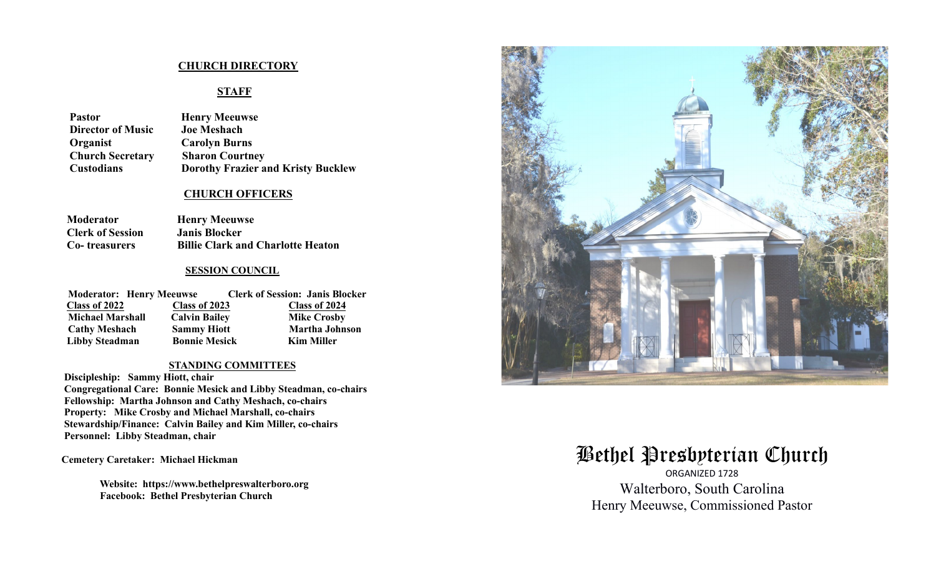#### **CHURCH DIRECTORY**

# **STAFF**

| <b>Henry Meeuwse</b>                      |
|-------------------------------------------|
| <b>Joe Meshach</b>                        |
| <b>Carolyn Burns</b>                      |
| <b>Sharon Courtney</b>                    |
| <b>Dorothy Frazier and Kristy Bucklew</b> |
|                                           |

#### **CHURCH OFFICERS**

| <b>Moderator</b>        | <b>Henry Meeuwse</b>                     |
|-------------------------|------------------------------------------|
| <b>Clerk of Session</b> | <b>Janis Blocker</b>                     |
| <b>Co-</b> treasurers   | <b>Billie Clark and Charlotte Heaton</b> |

#### **SESSION COUNCIL**

| <b>Moderator: Henry Meeuwse</b> |                      | <b>Clerk of Session: Janis Blocker</b> |
|---------------------------------|----------------------|----------------------------------------|
| Class of 2022                   | Class of 2023        | Class of 2024                          |
| <b>Michael Marshall</b>         | <b>Calvin Bailey</b> | <b>Mike Crosby</b>                     |
| <b>Cathy Meshach</b>            | <b>Sammy Hiott</b>   | <b>Martha Johnson</b>                  |
| <b>Libby Steadman</b>           | <b>Bonnie Mesick</b> | <b>Kim Miller</b>                      |

#### **STANDING COMMITTEES**

 **Discipleship: Sammy Hiott, chair Congregational Care: Bonnie Mesick and Libby Steadman, co-chairs Fellowship: Martha Johnson and Cathy Meshach, co-chairs Property: Mike Crosby and Michael Marshall, co-chairs Stewardship/Finance: Calvin Bailey and Kim Miller, co-chairs Personnel: Libby Steadman, chair** 

**Cemetery Caretaker: Michael Hickman** 

 **Website: https://www.bethelpreswalterboro.org Facebook: Bethel Presbyterian Church**



# Bethel Presbyterian Church

ORGANIZED 1728 Walterboro, South Carolina Henry Meeuwse, Commissioned Pastor